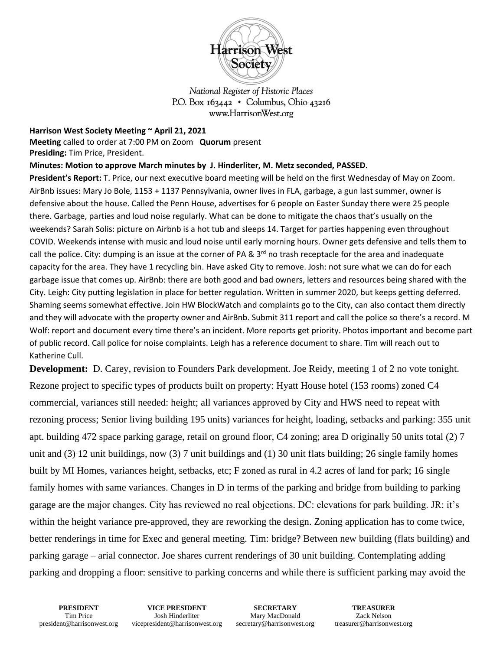

National Register of Historic Places P.O. Box  $163442 \cdot$  Columbus, Ohio 43216 www.HarrisonWest.org

**Harrison West Society Meeting ~ April 21, 2021**

**Meeting** called to order at 7:00 PM on Zoom **Quorum** present **Presiding:** Tim Price, President.

## **Minutes: Motion to approve March minutes by J. Hinderliter, M. Metz seconded, PASSED.**

**President's Report:** T. Price, our next executive board meeting will be held on the first Wednesday of May on Zoom. AirBnb issues: Mary Jo Bole, 1153 + 1137 Pennsylvania, owner lives in FLA, garbage, a gun last summer, owner is defensive about the house. Called the Penn House, advertises for 6 people on Easter Sunday there were 25 people there. Garbage, parties and loud noise regularly. What can be done to mitigate the chaos that's usually on the weekends? Sarah Solis: picture on Airbnb is a hot tub and sleeps 14. Target for parties happening even throughout COVID. Weekends intense with music and loud noise until early morning hours. Owner gets defensive and tells them to call the police. City: dumping is an issue at the corner of PA &  $3<sup>rd</sup>$  no trash receptacle for the area and inadequate capacity for the area. They have 1 recycling bin. Have asked City to remove. Josh: not sure what we can do for each garbage issue that comes up. AirBnb: there are both good and bad owners, letters and resources being shared with the City. Leigh: City putting legislation in place for better regulation. Written in summer 2020, but keeps getting deferred. Shaming seems somewhat effective. Join HW BlockWatch and complaints go to the City, can also contact them directly and they will advocate with the property owner and AirBnb. Submit 311 report and call the police so there's a record. M Wolf: report and document every time there's an incident. More reports get priority. Photos important and become part of public record. Call police for noise complaints. Leigh has a reference document to share. Tim will reach out to Katherine Cull.

**Development:** D. Carey, revision to Founders Park development. Joe Reidy, meeting 1 of 2 no vote tonight. Rezone project to specific types of products built on property: Hyatt House hotel (153 rooms) zoned C4 commercial, variances still needed: height; all variances approved by City and HWS need to repeat with rezoning process; Senior living building 195 units) variances for height, loading, setbacks and parking: 355 unit apt. building 472 space parking garage, retail on ground floor, C4 zoning; area D originally 50 units total (2) 7 unit and (3) 12 unit buildings, now (3) 7 unit buildings and (1) 30 unit flats building; 26 single family homes built by MI Homes, variances height, setbacks, etc; F zoned as rural in 4.2 acres of land for park; 16 single family homes with same variances. Changes in D in terms of the parking and bridge from building to parking garage are the major changes. City has reviewed no real objections. DC: elevations for park building. JR: it's within the height variance pre-approved, they are reworking the design. Zoning application has to come twice, better renderings in time for Exec and general meeting. Tim: bridge? Between new building (flats building) and parking garage – arial connector. Joe shares current renderings of 30 unit building. Contemplating adding parking and dropping a floor: sensitive to parking concerns and while there is sufficient parking may avoid the

**VICE PRESIDENT** Josh Hinderliter vicepresident@harrisonwest.org

**SECRETARY** Mary MacDonald secretary@harrisonwest.org

**TREASURER** Zack Nelson treasurer@harrisonwest.org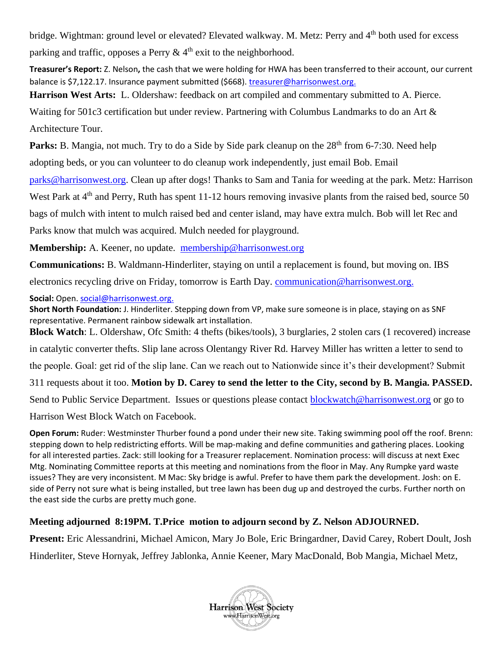bridge. Wightman: ground level or elevated? Elevated walkway. M. Metz: Perry and 4<sup>th</sup> both used for excess parking and traffic, opposes a Perry  $\& 4<sup>th</sup>$  exit to the neighborhood.

**Treasurer's Report:** Z. Nelson**,** the cash that we were holding for HWA has been transferred to their account, our current balance is \$7,122.17. Insurance payment submitted (\$668). [treasurer@harrisonwest.org.](mailto:treasurer@harrisonwest.org)

**Harrison West Arts:** L. Oldershaw: feedback on art compiled and commentary submitted to A. Pierce.

Waiting for 501c3 certification but under review. Partnering with Columbus Landmarks to do an Art & Architecture Tour.

**Parks:** B. Mangia, not much. Try to do a Side by Side park cleanup on the 28<sup>th</sup> from 6-7:30. Need help

adopting beds, or you can volunteer to do cleanup work independently, just email Bob. Email

[parks@harrisonwest.org.](mailto:parks@harrisonwest.org) Clean up after dogs! Thanks to Sam and Tania for weeding at the park. Metz: Harrison

West Park at 4<sup>th</sup> and Perry, Ruth has spent 11-12 hours removing invasive plants from the raised bed, source 50

bags of mulch with intent to mulch raised bed and center island, may have extra mulch. Bob will let Rec and

Parks know that mulch was acquired. Mulch needed for playground.

**Membership:** A. Keener, no update. [membership@harrisonwest.org](mailto:membership@harrisonwest.org)

**Communications:** B. Waldmann-Hinderliter, staying on until a replacement is found, but moving on. IBS

electronics recycling drive on Friday, tomorrow is Earth Day. [communication@harrisonwest.org.](mailto:communication@harrisonwest.org)

**Social:** Open[. social@harrisonwest.org.](mailto:social@harrisonwest.org)

**Short North Foundation:** J. Hinderliter. Stepping down from VP, make sure someone is in place, staying on as SNF representative. Permanent rainbow sidewalk art installation.

**Block Watch**: L. Oldershaw, Ofc Smith: 4 thefts (bikes/tools), 3 burglaries, 2 stolen cars (1 recovered) increase

in catalytic converter thefts. Slip lane across Olentangy River Rd. Harvey Miller has written a letter to send to

the people. Goal: get rid of the slip lane. Can we reach out to Nationwide since it's their development? Submit

311 requests about it too. **Motion by D. Carey to send the letter to the City, second by B. Mangia. PASSED.**

Send to Public Service Department. Issues or questions please contact [blockwatch@harrisonwest.org](mailto:blockwatch@harrisonwest.org) or go to

Harrison West Block Watch on Facebook.

**Open Forum:** Ruder: Westminster Thurber found a pond under their new site. Taking swimming pool off the roof. Brenn: stepping down to help redistricting efforts. Will be map-making and define communities and gathering places. Looking for all interested parties. Zack: still looking for a Treasurer replacement. Nomination process: will discuss at next Exec Mtg. Nominating Committee reports at this meeting and nominations from the floor in May. Any Rumpke yard waste issues? They are very inconsistent. M Mac: Sky bridge is awful. Prefer to have them park the development. Josh: on E. side of Perry not sure what is being installed, but tree lawn has been dug up and destroyed the curbs. Further north on the east side the curbs are pretty much gone.

## **Meeting adjourned 8:19PM. T.Price motion to adjourn second by Z. Nelson ADJOURNED.**

**Present:** Eric Alessandrini, Michael Amicon, Mary Jo Bole, Eric Bringardner, David Carey, Robert Doult, Josh Hinderliter, Steve Hornyak, Jeffrey Jablonka, Annie Keener, Mary MacDonald, Bob Mangia, Michael Metz,